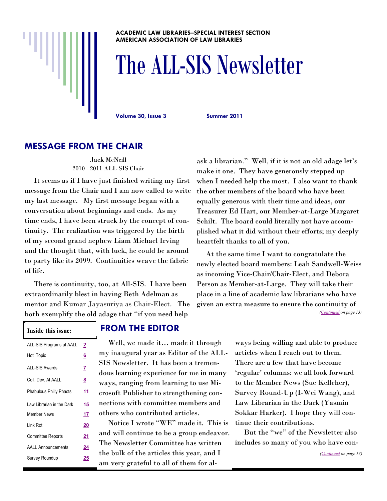#### **ACADEMIC LAW LIBRARIES–SPECIAL INTEREST SECTION AMERICAN ASSOCIATION OF LAW LIBRARIES**

# The ALL-SIS Newsletter

**Volume 30, Issue 3 Summer 2011**

### **MESSAGE FROM THE CHAIR**

Jack McNeill 2010 - 2011 ALL-SIS Chair

 It seems as if I have just finished writing my first message from the Chair and I am now called to write my last message. My first message began with a conversation about beginnings and ends. As my time ends, I have been struck by the concept of continuity. The realization was triggered by the birth of my second grand nephew Liam Michael Irving and the thought that, with luck, he could be around to party like its 2099. Continuities weave the fabric of life.

 There is continuity, too, at All-SIS. I have been extraordinarily blest in having Beth Adelman as mentor and Kumar Jayasuriya as Chair-Elect. The both exemplify the old adage that "if you need help

ask a librarian." Well, if it is not an old adage let's make it one. They have generously stepped up when I needed help the most. I also want to thank the other members of the board who have been equally generous with their time and ideas, our Treasurer Ed Hart, our Member-at-Large Margaret Schilt. The board could literally not have accomplished what it did without their efforts; my deeply heartfelt thanks to all of you.

 At the same time I want to congratulate the newly elected board members: Leah Sandwell-Weiss as incoming Vice-Chair/Chair-Elect, and Debora Person as Member-at-Large. They will take their place in a line of academic law librarians who have given an extra measure to ensure the continuity of *([Continued](#page-12-0) on page 13)*

| ALL-SIS Programs at AALL       | 2        |
|--------------------------------|----------|
| Hot Topic                      | <u>6</u> |
| <b>ALL-SIS Awards</b>          | z        |
| Coll. Dev. At AALL             | <u>8</u> |
| <b>Phabulous Philly Phacts</b> | 11       |
| I aw I ibrarian in the Dark    | 15       |
| Member News                    | 17       |
| I ink Rot                      | 20       |
| <b>Committee Reports</b>       | 21       |
| <b>AALL Announcements</b>      | 24       |
| <b>Survey Roundup</b>          | 25       |
|                                |          |

### **Inside this issue: FROM THE EDITOR**

 Well, we made it… made it through my inaugural year as Editor of the ALL-SIS Newsletter. It has been a tremendous learning experience for me in many ways, ranging from learning to use Microsoft Publisher to strengthening connections with committee members and others who contributed articles.

Notice I wrote "WE" made it. This is and will continue to be a group endeavor. The Newsletter Committee has written the bulk of the articles this year, and I am very grateful to all of them for always being willing and able to produce articles when I reach out to them. There are a few that have become ‗regular' columns: we all look forward to the Member News (Sue Kelleher), Survey Round-Up (I-Wei Wang), and Law Librarian in the Dark (Yasmin Sokkar Harker). I hope they will continue their contributions.

But the "we" of the Newsletter also includes so many of you who have con-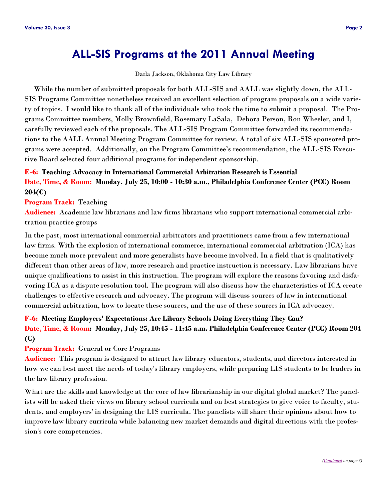### <span id="page-1-0"></span>**ALL-SIS Programs at the 2011 Annual Meeting**

Darla Jackson, Oklahoma City Law Library

 While the number of submitted proposals for both ALL-SIS and AALL was slightly down, the ALL-SIS Programs Committee nonetheless received an excellent selection of program proposals on a wide variety of topics. I would like to thank all of the individuals who took the time to submit a proposal. The Programs Committee members, Molly Brownfield, Rosemary LaSala, Debora Person, Ron Wheeler, and I, carefully reviewed each of the proposals. The ALL-SIS Program Committee forwarded its recommendations to the AALL Annual Meeting Program Committee for review. A total of six ALL-SIS sponsored programs were accepted. Additionally, on the Program Committee's recommendation, the ALL-SIS Executive Board selected four additional programs for independent sponsorship.

### **E-6: Teaching Advocacy in International Commercial Arbitration Research is Essential Date, Time, & Room: Monday, July 25, 10:00 - 10:30 a.m., Philadelphia Conference Center (PCC) Room 204(C)**

#### **Program Track:** Teaching

**Audience:** Academic law librarians and law firms librarians who support international commercial arbitration practice groups

In the past, most international commercial arbitrators and practitioners came from a few international law firms. With the explosion of international commerce, international commercial arbitration (ICA) has become much more prevalent and more generalists have become involved. In a field that is qualitatively different than other areas of law, more research and practice instruction is necessary. Law librarians have unique qualifications to assist in this instruction. The program will explore the reasons favoring and disfavoring ICA as a dispute resolution tool. The program will also discuss how the characteristics of ICA create challenges to effective research and advocacy. The program will discuss sources of law in international commercial arbitration, how to locate these sources, and the use of these sources in ICA advocacy.

### **F-6: Meeting Employers' Expectations: Are Library Schools Doing Everything They Can? Date, Time, & Room: Monday, July 25, 10:45 - 11:45 a.m. Philadelphia Conference Center (PCC) Room 204 (C)**

#### **Program Track:** General or Core Programs

**Audience:** This program is designed to attract law library educators, students, and directors interested in how we can best meet the needs of today's library employers, while preparing LIS students to be leaders in the law library profession.

What are the skills and knowledge at the core of law librarianship in our digital global market? The panelists will be asked their views on library school curricula and on best strategies to give voice to faculty, students, and employers' in designing the LIS curricula. The panelists will share their opinions about how to improve law library curricula while balancing new market demands and digital directions with the profession's core competencies.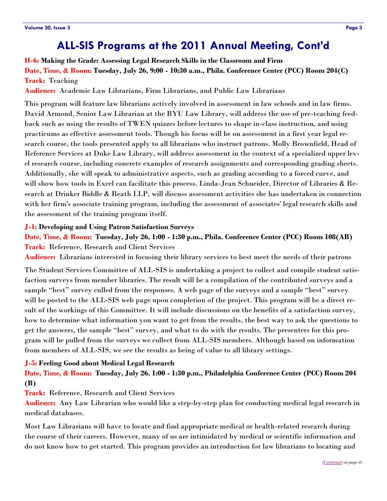### **ALL-SIS Programs at the 2011 Annual Meeting, Cont'd**

### <span id="page-2-0"></span>**H-6: Making the Grade: Assessing Legal Research Skills in the Classroom and Firm Date, Time, & Room: Tuesday, July 26, 9:00 - 10:30 a.m., Phila. Conference Center (PCC) Room 204(C) Track:** Teaching

**Audience:** Academic Law Librarians, Firm Librarians, and Public Law Librarians

This program will feature law librarians actively involved in assessment in law schools and in law firms. David Armond, Senior Law Librarian at the BYU Law Library, will address the use of pre-teaching feedback such as using the results of TWEN quizzes before lectures to shape in-class instruction, and using practicums as effective assessment tools. Though his focus will be on assessment in a first year legal research course, the tools presented apply to all librarians who instruct patrons. Molly Brownfield, Head of Reference Services at Duke Law Library, will address assessment in the context of a specialized upper level research course, including concrete examples of research assignments and corresponding grading sheets. Additionally, she will speak to administrative aspects, such as grading according to a forced curve, and will show how tools in Excel can facilitate this process. Linda-Jean Schneider, Director of Libraries & Research at Drinker Biddle & Reath LLP, will discuss assessment activities she has undertaken in connection with her firm's associate training program, including the assessment of associates' legal research skills and the assessment of the training program itself.

#### **J-1: Developing and Using Patron Satisfaction Surveys**

**Date, Time, & Room: Tuesday, July 26, 1:00 - 1:30 p.m., Phila. Conference Center (PCC) Room 108(AB) Track:** Reference, Research and Client Services

**Audience:** Librarians interested in focusing their library services to best meet the needs of their patrons

The Student Services Committee of ALL-SIS is undertaking a project to collect and compile student satisfaction surveys from member libraries. The result will be a compilation of the contributed surveys and a sample "best" survey culled from the responses. A web page of the surveys and a sample "best" survey will be posted to the ALL-SIS web page upon completion of the project. This program will be a direct result of the workings of this Committee. It will include discussions on the benefits of a satisfaction survey, how to determine what information you want to get from the results, the best way to ask the questions to get the answers, the sample "best" survey, and what to do with the results. The presenters for this program will be pulled from the surveys we collect from ALL-SIS members. Although based on information from members of ALL-SIS, we see the results as being of value to all library settings.

#### **J-5: Feeling Good about Medical Legal Research**

**Date, Time, & Room: Tuesday, July 26, 1:00 - 1:30 p.m., Philadelphia Conference Center (PCC) Room 204 (B)**

**Track:** Reference, Research and Client Services

**Audience:** Any Law Librarian who would like a step-by-step plan for conducting medical legal research in medical databases.

Most Law Librarians will have to locate and find appropriate medical or health-related research during the course of their careers. However, many of us are intimidated by medical or scientific information and do not know how to get started. This program provides an introduction for law librarians to locating and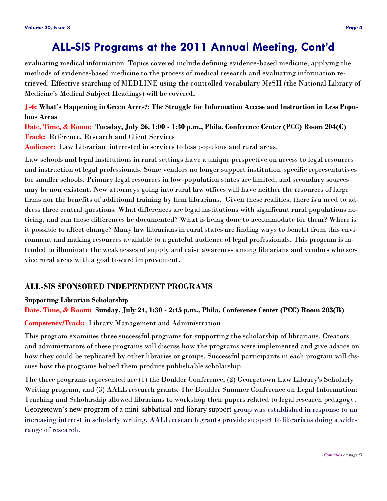### **ALL-SIS Programs at the 2011 Annual Meeting, Cont'd**

<span id="page-3-0"></span>evaluating medical information. Topics covered include defining evidence-based medicine, applying the methods of evidence-based medicine to the process of medical research and evaluating information retrieved. Effective searching of MEDLINE using the controlled vocabulary MeSH (the National Library of Medicine's Medical Subject Headings) will be covered.

**J-6: What's Happening in Green Acres?: The Struggle for Information Access and Instruction in Less Populous Areas** 

**Date, Time, & Room: Tuesday, July 26, 1:00 - 1:30 p.m., Phila. Conference Center (PCC) Room 204(C) Track:** Reference, Research and Client Services

**Audience:** Law Librarian interested in services to less populous and rural areas.

Law schools and legal institutions in rural settings have a unique perspective on access to legal resources and instruction of legal professionals. Some vendors no longer support institution-specific representatives for smaller schools. Primary legal resources in low-population states are limited, and secondary sources may be non-existent. New attorneys going into rural law offices will have neither the resources of large firms nor the benefits of additional training by firm librarians. Given these realities, there is a need to address three central questions. What differences are legal institutions with significant rural populations noticing, and can these differences be documented? What is being done to accommodate for them? Where is it possible to affect change? Many law librarians in rural states are finding ways to benefit from this environment and making resources available to a grateful audience of legal professionals. This program is intended to illuminate the weaknesses of supply and raise awareness among librarians and vendors who service rural areas with a goal toward improvement.

### **ALL-SIS SPONSORED INDEPENDENT PROGRAMS**

#### **Supporting Librarian Scholarship**

**Date, Time, & Room: Sunday, July 24, 1:30 - 2:45 p.m., Phila. Conference Center (PCC) Room 203(B)**

#### **Competency/Track:** Library Management and Administration

This program examines three successful programs for supporting the scholarship of librarians. Creators and administrators of these programs will discuss how the programs were implemented and give advice on how they could be replicated by other libraries or groups. Successful participants in each program will discuss how the programs helped them produce publishable scholarship.

The three programs represented are (1) the Boulder Conference, (2) Georgetown Law Library's Scholarly Writing program, and (3) AALL research grants. The Boulder Summer Conference on Legal Information: Teaching and Scholarship allowed librarians to workshop their papers related to legal research pedagogy. Georgetown's new program of a mini-sabbatical and library support group was established in response to an increasing interest in scholarly writing. AALL research grants provide support to librarians doing a widerange of research.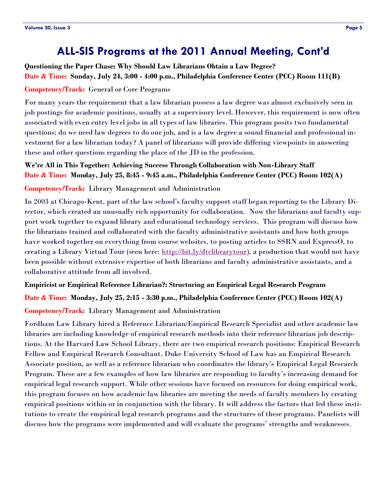### **ALL-SIS Programs at the 2011 Annual Meeting, Cont'd**

<span id="page-4-0"></span>**Questioning the Paper Chase: Why Should Law Librarians Obtain a Law Degree? Date & Time: Sunday, July 24, 3:00 - 4:00 p.m., Philadelphia Conference Center (PCC) Room 111(B)**

### **Competency/Track:** General or Core Programs

For many years the requirement that a law librarian possess a law degree was almost exclusively seen in job postings for academic positions, usually at a supervisory level. However, this requirement is now often associated with even entry level jobs in all types of law libraries. This program posits two fundamental questions; do we need law degrees to do our job, and is a law degree a sound financial and professional investment for a law librarian today? A panel of librarians will provide differing viewpoints in answering these and other questions regarding the place of the JD in the profession.

**We're All in This Together: Achieving Success Through Collaboration with Non-Library Staff Date & Time: Monday, July 25, 8:45 - 9:45 a.m., Philadelphia Conference Center (PCC) Room 102(A)**

**Competency/Track:** Library Management and Administration

In 2003 at Chicago-Kent, part of the law school's faculty support staff began reporting to the Library Director, which created an unusually rich opportunity for collaboration. Now the librarians and faculty support work together to expand library and educational technology services. This program will discuss how the librarians trained and collaborated with the faculty administrative assistants and how both groups have worked together on everything from course websites, to posting articles to SSRN and ExpressO, to creating a Library Virtual Tour (seen here: [http://bit.ly/dtclibrarytour\)](http://bit.ly/dtclibrarytour), a production that would not have been possible without extensive expertise of both librarians and faculty administrative assistants, and a collaborative attitude from all involved.

#### **Empiricist or Empirical Reference Librarian?: Structuring an Empirical Legal Research Program**

**Date & Time: Monday, July 25, 2:15 - 3:30 p.m., Philadelphia Conference Center (PCC) Room 102(A) Competency/Track:** Library Management and Administration

Fordham Law Library hired a Reference Librarian/Empirical Research Specialist and other academic law libraries are including knowledge of empirical research methods into their reference librarian job descriptions. At the Harvard Law School Library, there are two empirical research positions: Empirical Research Fellow and Empirical Research Consultant. Duke University School of Law has an Empirical Research Associate position, as well as a reference librarian who coordinates the library's Empirical Legal Research Program. These are a few examples of how law libraries are responding to faculty's increasing demand for empirical legal research support. While other sessions have focused on resources for doing empirical work, this program focuses on how academic law libraries are meeting the needs of faculty members by creating empirical positions within or in conjunction with the library. It will address the factors that led these institutions to create the empirical legal research programs and the structures of these programs. Panelists will discuss how the programs were implemented and will evaluate the programs' strengths and weaknesses.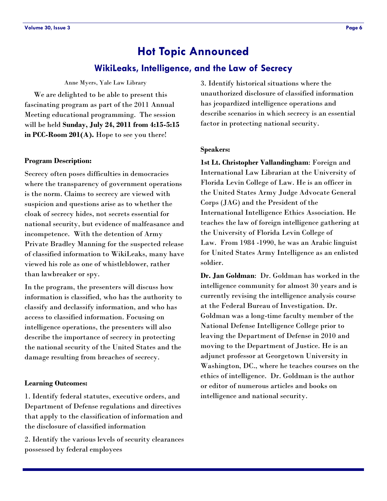# **Hot Topic Announced**

### **WikiLeaks, Intelligence, and the Law of Secrecy**

Anne Myers, Yale Law Library

<span id="page-5-0"></span> We are delighted to be able to present this fascinating program as part of the 2011 Annual Meeting educational programming. The session will be held **Sunday, July 24, 2011 from 4:15-5:15 in PCC-Room 201(A).** Hope to see you there!

#### **Program Description:**

Secrecy often poses difficulties in democracies where the transparency of government operations is the norm. Claims to secrecy are viewed with suspicion and questions arise as to whether the cloak of secrecy hides, not secrets essential for national security, but evidence of malfeasance and incompetence. With the detention of Army Private Bradley Manning for the suspected release of classified information to WikiLeaks, many have viewed his role as one of whistleblower, rather than lawbreaker or spy.

In the program, the presenters will discuss how information is classified, who has the authority to classify and declassify information, and who has access to classified information. Focusing on intelligence operations, the presenters will also describe the importance of secrecy in protecting the national security of the United States and the damage resulting from breaches of secrecy.

#### **Learning Outcomes:**

1. Identify federal statutes, executive orders, and Department of Defense regulations and directives that apply to the classification of information and the disclosure of classified information

2. Identify the various levels of security clearances possessed by federal employees

3. Identify historical situations where the unauthorized disclosure of classified information has jeopardized intelligence operations and describe scenarios in which secrecy is an essential factor in protecting national security.

#### **Speakers:**

**1st Lt. Christopher Vallandingham**: Foreign and International Law Librarian at the University of Florida Levin College of Law. He is an officer in the United States Army Judge Advocate General Corps (JAG) and the President of the International Intelligence Ethics Association. He teaches the law of foreign intelligence gathering at the University of Florida Levin College of Law. From 1984 -1990, he was an Arabic linguist for United States Army Intelligence as an enlisted soldier.

**Dr. Jan Goldman**: Dr. Goldman has worked in the intelligence community for almost 30 years and is currently revising the intelligence analysis course at the Federal Bureau of Investigation. Dr. Goldman was a long-time faculty member of the National Defense Intelligence College prior to leaving the Department of Defense in 2010 and moving to the Department of Justice. He is an adjunct professor at Georgetown University in Washington, DC., where he teaches courses on the ethics of intelligence. Dr. Goldman is the author or editor of numerous articles and books on intelligence and national security.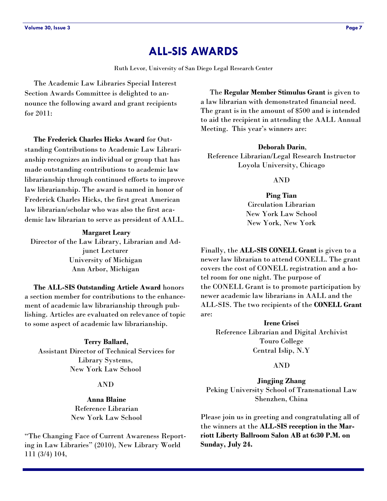### **ALL-SIS AWARDS**

Ruth Levor, University of San Diego Legal Research Center

<span id="page-6-0"></span> The Academic Law Libraries Special Interest Section Awards Committee is delighted to announce the following award and grant recipients for 2011:

 **The Frederick Charles Hicks Award** for Outstanding Contributions to Academic Law Librarianship recognizes an individual or group that has made outstanding contributions to academic law librarianship through continued efforts to improve law librarianship. The award is named in honor of Frederick Charles Hicks, the first great American law librarian/scholar who was also the first academic law librarian to serve as president of AALL.

#### **Margaret Leary**

Director of the Law Library, Librarian and Adjunct Lecturer University of Michigan Ann Arbor, Michigan

 **The ALL-SIS Outstanding Article Award** honors a section member for contributions to the enhancement of academic law librarianship through publishing. Articles are evaluated on relevance of topic to some aspect of academic law librarianship.

**Terry Ballard,**  Assistant Director of Technical Services for Library Systems, New York Law School

### AND

**Anna Blaine** Reference Librarian New York Law School

―The Changing Face of Current Awareness Reporting in Law Libraries" (2010), New Library World 111 (3/4) 104,

 The **Regular Member Stimulus Grant** is given to a law librarian with demonstrated financial need. The grant is in the amount of \$500 and is intended to aid the recipient in attending the AALL Annual Meeting. This year's winners are:

#### **Deborah Darin**,

Reference Librarian/Legal Research Instructor Loyola University, Chicago

#### AND

**Ping Tian** Circulation Librarian New York Law School New York, New York

Finally, the **ALL-SIS CONELL Grant** is given to a newer law librarian to attend CONELL. The grant covers the cost of CONELL registration and a hotel room for one night. The purpose of the CONELL Grant is to promote participation by newer academic law librarians in AALL and the ALL-SIS. The two recipients of the **CONELL Grant** are:

**Irene Crisci** Reference Librarian and Digital Archivist Touro College Central Islip, N.Y

#### AND

**Jingjing Zhang** Peking University School of Transnational Law Shenzhen, China

Please join us in greeting and congratulating all of the winners at the **ALL-SIS reception in the Marriott Liberty Ballroom Salon AB at 6:30 P.M. on Sunday, July 24.**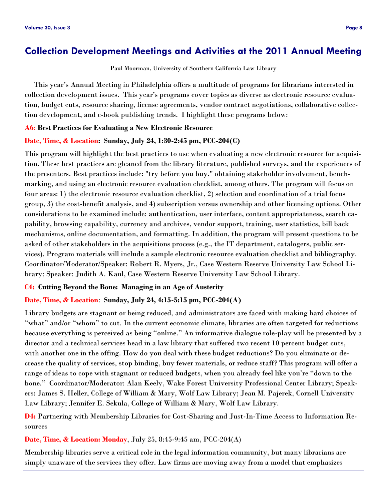### <span id="page-7-0"></span>**Collection Development Meetings and Activities at the 2011 Annual Meeting**

Paul Moorman, University of Southern California Law Library

 This year's Annual Meeting in Philadelphia offers a multitude of programs for librarians interested in collection development issues. This year's programs cover topics as diverse as electronic resource evaluation, budget cuts, resource sharing, license agreements, vendor contract negotiations, collaborative collection development, and e-book publishing trends. I highlight these programs below:

#### **A6**: **Best Practices for Evaluating a New Electronic Resource**

#### **Date, Time, & Location: Sunday, July 24, 1:30-2:45 pm, PCC-204(C)**

This program will highlight the best practices to use when evaluating a new electronic resource for acquisition. These best practices are gleaned from the library literature, published surveys, and the experiences of the presenters. Best practices include: "try before you buy," obtaining stakeholder involvement, benchmarking, and using an electronic resource evaluation checklist, among others. The program will focus on four areas: 1) the electronic resource evaluation checklist, 2) selection and coordination of a trial focus group, 3) the cost-benefit analysis, and 4) subscription versus ownership and other licensing options. Other considerations to be examined include: authentication, user interface, content appropriateness, search capability, browsing capability, currency and archives, vendor support, training, user statistics, bill back mechanisms, online documentation, and formatting. In addition, the program will present questions to be asked of other stakeholders in the acquisitions process (e.g., the IT department, catalogers, public services). Program materials will include a sample electronic resource evaluation checklist and bibliography. Coordinator/Moderator/Speaker: Robert R. Myers, Jr., Case Western Reserve University Law School Library; Speaker: Judith A. Kaul, Case Western Reserve University Law School Library.

#### **C4: Cutting Beyond the Bone: Managing in an Age of Austerity**

#### **Date, Time, & Location**: **Sunday, July 24, 4:15-5:15 pm, PCC-204(A)**

Library budgets are stagnant or being reduced, and administrators are faced with making hard choices of "what" and/or "whom" to cut. In the current economic climate, libraries are often targeted for reductions because everything is perceived as being "online." An informative dialogue role-play will be presented by a director and a technical services head in a law library that suffered two recent 10 percent budget cuts, with another one in the offing. How do you deal with these budget reductions? Do you eliminate or decrease the quality of services, stop binding, buy fewer materials, or reduce staff? This program will offer a range of ideas to cope with stagnant or reduced budgets, when you already feel like you're "down to the bone.‖ Coordinator/Moderator: Alan Keely, Wake Forest University Professional Center Library; Speakers: James S. Heller, College of William & Mary, Wolf Law Library; Jean M. Pajerek, Cornell University Law Library; Jennifer E. Sekula, College of William & Mary, Wolf Law Library.

**D4:** Partnering with Membership Libraries for Cost-Sharing and Just-In-Time Access to Information Resources

**Date, Time, & Location: Monday**, July 25, 8:45-9:45 am, PCC-204(A)

Membership libraries serve a critical role in the legal information community, but many librarians are simply unaware of the services they offer. Law firms are moving away from a model that emphasizes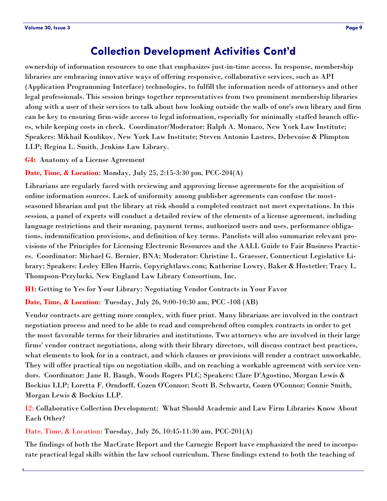### **Collection Development Activities Cont'd**

ownership of information resources to one that emphasizes just-in-time access. In response, membership libraries are embracing innovative ways of offering responsive, collaborative services, such as API (Application Programming Interface) technologies, to fulfill the information needs of attorneys and other legal professionals. This session brings together representatives from two prominent membership libraries along with a user of their services to talk about how looking outside the walls of one's own library and firm can be key to ensuring firm-wide access to legal information, especially for minimally staffed branch offices, while keeping costs in check. Coordinator/Moderator: Ralph A. Monaco, New York Law Institute; Speakers: Mikhail Koulikov, New York Law Institute; Steven Antonio Lastres, Debevoise & Plimpton LLP; Regina L. Smith, Jenkins Law Library.

**G4:** Anatomy of a License Agreement

**Date, Time, & Location**: Monday, July 25, 2:15-3:30 pm, PCC-204(A)

Librarians are regularly faced with reviewing and approving license agreements for the acquisition of online information sources. Lack of uniformity among publisher agreements can confuse the mostseasoned librarian and put the library at risk should a completed contract not meet expectations. In this session, a panel of experts will conduct a detailed review of the elements of a license agreement, including language restrictions and their meaning, payment terms, authorized users and uses, performance obligations, indemnification provisions, and definition of key terms. Panelists will also summarize relevant provisions of the Principles for Licensing Electronic Resources and the AALL Guide to Fair Business Practices. Coordinator: Michael G. Bernier, BNA; Moderator: Christine L. Graesser, Connecticut Legislative Library; Speakers: Lesley Ellen Harris, Copyrightlaws.com; Katherine Lowry, Baker & Hostetler; Tracy L. Thompson-Przylucki, New England Law Library Consortium, Inc.

**H1**: Getting to Yes for Your Library: Negotiating Vendor Contracts in Your Favor

**Date, Time, & Location**: Tuesday, July 26, 9:00-10:30 am, PCC -108 (AB)

Vendor contracts are getting more complex, with finer print. Many librarians are involved in the contract negotiation process and need to be able to read and comprehend often complex contracts in order to get the most favorable terms for their libraries and institutions. Two attorneys who are involved in their large firms' vendor contract negotiations, along with their library directors, will discuss contract best practices, what elements to look for in a contract, and which clauses or provisions will render a contract unworkable. They will offer practical tips on negotiation skills, and on reaching a workable agreement with service vendors. Coordinator: Jane R. Baugh, Woods Rogers PLC; Speakers: Clare D'Agostino, Morgan Lewis & Bockius LLP; Loretta F. Orndorff, Cozen O'Connor; Scott B. Schwartz, Cozen O'Connor; Connie Smith, Morgan Lewis & Bockius LLP.

I2: Collaborative Collection Development: What Should Academic and Law Firm Libraries Know About Each Other?

Date, Time, & Location: Tuesday, July 26, 10:45-11:30 am, PCC-201(A)

The findings of both the MacCrate Report and the Carnegie Report have emphasized the need to incorporate practical legal skills within the law school curriculum. These findings extend to both the teaching of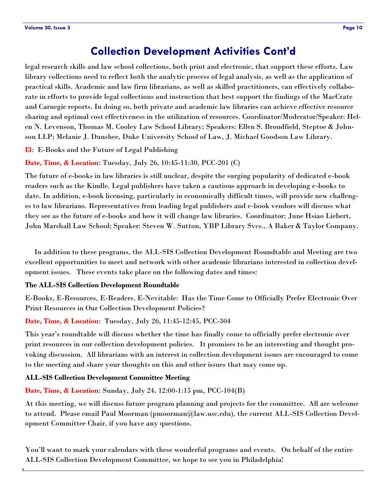### **Collection Development Activities Cont'd**

legal research skills and law school collections, both print and electronic, that support these efforts. Law library collections need to reflect both the analytic process of legal analysis, as well as the application of practical skills. Academic and law firm librarians, as well as skilled practitioners, can effectively collaborate in efforts to provide legal collections and instruction that best support the findings of the MacCrate and Carnegie reports. In doing so, both private and academic law libraries can achieve effective resource sharing and optimal cost effectiveness in the utilization of resources. Coordinator/Moderator/Speaker: Helen N. Levenson, Thomas M. Cooley Law School Library; Speakers: Ellen S. Brondfield, Steptoe & Johnson LLP; Melanie J. Dunshee, Duke University School of Law, J. Michael Goodson Law Library.

**I3**: E-Books and the Future of Legal Publishing

**Date, Time, & Location**: Tuesday, July 26, 10:45-11:30, PCC-201 (C)

The future of e-books in law libraries is still unclear, despite the surging popularity of dedicated e-book readers such as the Kindle. Legal publishers have taken a cautious approach in developing e-books to date. In addition, e-book licensing, particularly in economically difficult times, will provide new challenges to law librarians. Representatives from leading legal publishers and e-book vendors will discuss what they see as the future of e-books and how it will change law libraries. Coordinator: June Hsiao Liebert, John Marshall Law School; Speaker: Steven W. Sutton, YBP Library Svcs., A Baker & Taylor Company.

 In addition to these programs, the ALL-SIS Collection Development Roundtable and Meeting are two excellent opportunities to meet and network with other academic librarians interested in collection development issues. These events take place on the following dates and times:

#### **The ALL-SIS Collection Development Roundtable**

E-Books, E-Resources, E-Readers, E-Nevitable: Has the Time Come to Officially Prefer Electronic Over Print Resources in Our Collection Development Policies?

**Date, Time, & Location**: Tuesday, July 26, 11:45-12:45, PCC-304

This year's roundtable will discuss whether the time has finally come to officially prefer electronic over print resources in our collection development policies. It promises to be an interesting and thought provoking discussion. All librarians with an interest in collection development issues are encouraged to come to the meeting and share your thoughts on this and other issues that may come up.

#### **ALL-SIS Collection Development Committee Meeting**

**Date, Time, & Location**: Sunday, July 24, 12:00-1:15 pm, PCC-104(B)

At this meeting, we will discuss future program planning and projects for the committee. All are welcome to attend. Please email Paul Moorman (pmoorman@law.usc.edu), the current ALL-SIS Collection Development Committee Chair, if you have any questions.

You'll want to mark your calendars with these wonderful programs and events. On behalf of the entire ALL-SIS Collection Development Committee, we hope to see you in Philadelphia!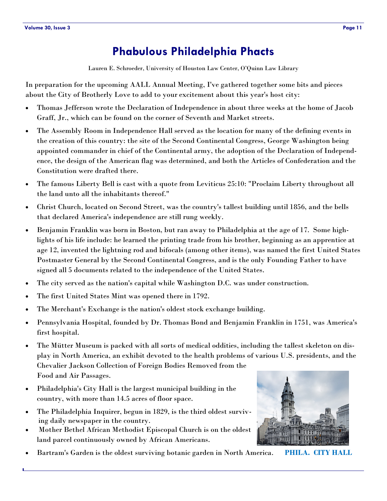# **Phabulous Philadelphia Phacts**

Lauren E. Schroeder, University of Houston Law Center, O'Quinn Law Library

<span id="page-10-0"></span>In preparation for the upcoming AALL Annual Meeting, I've gathered together some bits and pieces about the City of Brotherly Love to add to your excitement about this year's host city:

- Thomas Jefferson wrote the Declaration of Independence in about three weeks at the home of Jacob Graff, Jr., which can be found on the corner of Seventh and Market streets.
- The Assembly Room in Independence Hall served as the location for many of the defining events in the creation of this country: the site of the Second Continental Congress, George Washington being appointed commander in chief of the Continental army, the adoption of the Declaration of Independence, the design of the American flag was determined, and both the Articles of Confederation and the Constitution were drafted there.
- The famous Liberty Bell is cast with a quote from Leviticus 25:10: "Proclaim Liberty throughout all the land unto all the inhabitants thereof."
- Christ Church, located on Second Street, was the country's tallest building until 1856, and the bells that declared America's independence are still rung weekly.
- Benjamin Franklin was born in Boston, but ran away to Philadelphia at the age of 17. Some highlights of his life include: he learned the printing trade from his brother, beginning as an apprentice at age 12, invented the lightning rod and bifocals (among other items), was named the first United States Postmaster General by the Second Continental Congress, and is the only Founding Father to have signed all 5 documents related to the independence of the United States.
- The city served as the nation's capital while Washington D.C. was under construction.
- The first United States Mint was opened there in 1792.
- The Merchant's Exchange is the nation's oldest stock exchange building.
- Pennsylvania Hospital, founded by Dr. Thomas Bond and Benjamin Franklin in 1751, was America's first hospital.
- The Mütter Museum is packed with all sorts of medical oddities, including the tallest skeleton on display in North America, an exhibit devoted to the health problems of various U.S. presidents, and the Chevalier Jackson Collection of Foreign Bodies Removed from the Food and Air Passages.
- Philadelphia's City Hall is the largest municipal building in the country, with more than 14.5 acres of floor space.
- The Philadelphia Inquirer, begun in 1829, is the third oldest surviv ing daily newspaper in the country.
- Mother Bethel African Methodist Episcopal Church is on the oldest land parcel continuously owned by African Americans.
- Bartram's Garden is the oldest surviving botanic garden in North America. **PHILA. CITY HALL**

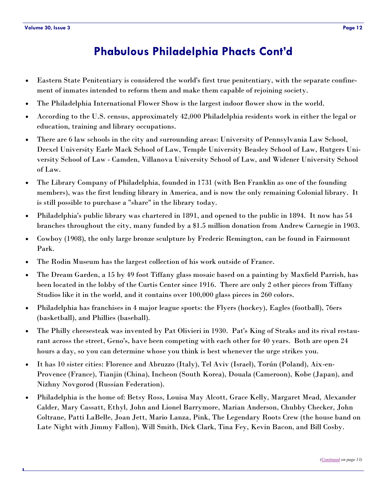# **Phabulous Philadelphia Phacts Cont'd**

- Eastern State Penitentiary is considered the world's first true penitentiary, with the separate confinement of inmates intended to reform them and make them capable of rejoining society.
- The Philadelphia International Flower Show is the largest indoor flower show in the world.
- According to the U.S. census, approximately 42,000 Philadelphia residents work in either the legal or education, training and library occupations.
- There are 6 law schools in the city and surrounding areas: University of Pennsylvania Law School, Drexel University Earle Mack School of Law, Temple University Beasley School of Law, Rutgers University School of Law - Camden, Villanova University School of Law, and Widener University School of Law.
- The Library Company of Philadelphia, founded in 1731 (with Ben Franklin as one of the founding members), was the first lending library in America, and is now the only remaining Colonial library. It is still possible to purchase a "share" in the library today.
- Philadelphia's public library was chartered in 1891, and opened to the public in 1894. It now has 54 branches throughout the city, many funded by a \$1.5 million donation from Andrew Carnegie in 1903.
- Cowboy (1908), the only large bronze sculpture by Frederic Remington, can be found in Fairmount Park.
- The Rodin Museum has the largest collection of his work outside of France.
- The Dream Garden, a 15 by 49 foot Tiffany glass mosaic based on a painting by Maxfield Parrish, has been located in the lobby of the Curtis Center since 1916. There are only 2 other pieces from Tiffany Studios like it in the world, and it contains over 100,000 glass pieces in 260 colors.
- Philadelphia has franchises in 4 major league sports: the Flyers (hockey), Eagles (football), 76ers (basketball), and Phillies (baseball).
- The Philly cheesesteak was invented by Pat Olivieri in 1930. Pat's King of Steaks and its rival restaurant across the street, Geno's, have been competing with each other for 40 years. Both are open 24 hours a day, so you can determine whose you think is best whenever the urge strikes you.
- It has 10 sister cities: Florence and Abruzzo (Italy), Tel Aviv (Israel), Torún (Poland), Aix-en-Provence (France), Tianjin (China), Incheon (South Korea), Douala (Cameroon), Kobe (Japan), and Nizhny Novgorod (Russian Federation).
- Philadelphia is the home of: Betsy Ross, Louisa May Alcott, Grace Kelly, Margaret Mead, Alexander Calder, Mary Cassatt, Ethyl, John and Lionel Barrymore, Marian Anderson, Chubby Checker, John Coltrane, Patti LaBelle, Joan Jett, Mario Lanza, Pink, The Legendary Roots Crew (the house band on Late Night with Jimmy Fallon), Will Smith, Dick Clark, Tina Fey, Kevin Bacon, and Bill Cosby.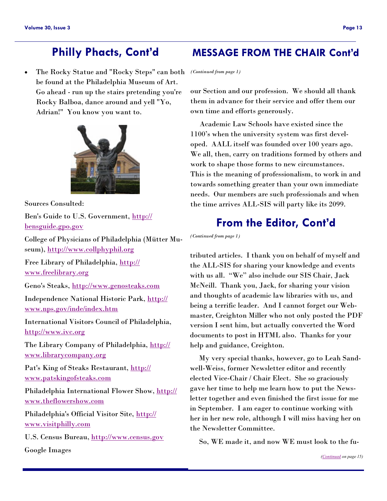The Rocky Statue and "Rocky Steps" can both be found at the Philadelphia Museum of Art. Go ahead - run up the stairs pretending you're Rocky Balboa, dance around and yell "Yo, Adrian!" You know you want to.



Sources Consulted:

Ben's Guide to U.S. Government, [http://](http://bensguide.gpo.gov) [bensguide.gpo.gov](http://bensguide.gpo.gov) 

College of Physicians of Philadelphia (Mütter Museum), <http://www.collphyphil.org>

Free Library of Philadelphia, [http://](http://www.freelibrary.org) [www.freelibrary.org](http://www.freelibrary.org) 

Geno's Steaks, <http://www.genosteaks.com>

Independence National Historic Park, [http://](http://www.nps.gov/inde/index.htm) [www.nps.gov/inde/index.htm](http://www.nps.gov/inde/index.htm) 

International Visitors Council of Philadelphia, <http://www.ivc.org>

The Library Company of Philadelphia, [http://](http://www.librarycompany.org) [www.librarycompany.org](http://www.librarycompany.org)

Pat's King of Steaks Restaurant, [http://](http://www.patskingofsteaks.com) [www.patskingofsteaks.com](http://www.patskingofsteaks.com) 

Philadelphia International Flower Show, [http://](http://www.theflowershow.com) [www.theflowershow.com](http://www.theflowershow.com)

Philadelphia's Official Visitor Site, [http://](http://www.visitphilly.com) [www.visitphilly.com](http://www.visitphilly.com) 

U.S. Census Bureau,<http://www.census.gov>

Google Images

### <span id="page-12-0"></span>**Philly Phacts, Cont'd MESSAGE FROM THE CHAIR Cont'd**

*(Continued from page 1)*

our Section and our profession. We should all thank them in advance for their service and offer them our own time and efforts generously.

 Academic Law Schools have existed since the 1100's when the university system was first developed. AALL itself was founded over 100 years ago. We all, then, carry on traditions formed by others and work to shape those forms to new circumstances. This is the meaning of professionalism, to work in and towards something greater than your own immediate needs. Our members are such professionals and when the time arrives ALL-SIS will party like its 2099.

### **From the Editor, Cont'd**

*(Continued from page 1)*

tributed articles. I thank you on behalf of myself and the ALL-SIS for sharing your knowledge and events with us all. "We" also include our SIS Chair, Jack McNeill. Thank you, Jack, for sharing your vision and thoughts of academic law libraries with us, and being a terrific leader. And I cannot forget our Webmaster, Creighton Miller who not only posted the PDF version I sent him, but actually converted the Word documents to post in HTML also. Thanks for your help and guidance, Creighton.

 My very special thanks, however, go to Leah Sandwell-Weiss, former Newsletter editor and recently elected Vice-Chair / Chair Elect. She so graciously gave her time to help me learn how to put the Newsletter together and even finished the first issue for me in September. I am eager to continue working with her in her new role, although I will miss having her on the Newsletter Committee.

So, WE made it, and now WE must look to the fu-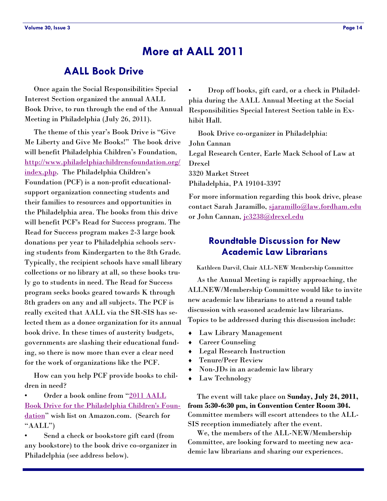### **More at AALL 2011**

### **AALL Book Drive**

 Once again the Social Responsibilities Special Interest Section organized the annual AALL Book Drive, to run through the end of the Annual Meeting in Philadelphia (July 26, 2011).

The theme of this year's Book Drive is "Give Me Liberty and Give Me Books!" The book drive will benefit Philadelphia Children's Foundation, [http://www.philadelphiachildrensfoundation.org/](http://www.philadelphiachildrensfoundation.org/index.php) [index.php.](http://www.philadelphiachildrensfoundation.org/index.php) The Philadelphia Children's Foundation (PCF) is a non-profit educationalsupport organization connecting students and their families to resources and opportunities in the Philadelphia area. The books from this drive will benefit PCF's Read for Success program. The Read for Success program makes 2-3 large book donations per year to Philadelphia schools serving students from Kindergarten to the 8th Grade. Typically, the recipient schools have small library collections or no library at all, so these books truly go to students in need. The Read for Success program seeks books geared towards K through 8th graders on any and all subjects. The PCF is really excited that AALL via the SR-SIS has selected them as a donee organization for its annual book drive. In these times of austerity budgets, governments are slashing their educational funding, so there is now more than ever a clear need for the work of organizations like the PCF.

 How can you help PCF provide books to children in need?

Order a book online from "2011 AALL [Book Drive for the Philadelphia Children's Foun](http://www.amazon.com/gp/registry/search.html?ie=UTF8&type=wishlist)[dation](http://www.amazon.com/gp/registry/search.html?ie=UTF8&type=wishlist)" wish list on Amazon.com. (Search for " $AALL"$ 

Send a check or bookstore gift card (from any bookstore) to the book drive co-organizer in Philadelphia (see address below).

• Drop off books, gift card, or a check in Philadelphia during the AALL Annual Meeting at the Social Responsibilities Special Interest Section table in Exhibit Hall.

 Book Drive co-organizer in Philadelphia: John Cannan Legal Research Center, Earle Mack School of Law at Drexel 3320 Market Street Philadelphia, PA 19104-3397

For more information regarding this book drive, please contact Sarah Jaramillo, [sjaramillo@law.fordham.edu](mailto:sjaramillo@law.fordham.edu) or John Cannan, [jc3238@drexel.edu](mailto:jc3238@drexel.edu)

### **Roundtable Discussion for New Academic Law Librarians**

Kathleen Darvil, Chair ALL-NEW Membership Committee

 As the Annual Meeting is rapidly approaching, the ALLNEW/Membership Committee would like to invite new academic law librarians to attend a round table discussion with seasoned academic law librarians. Topics to be addressed during this discussion include:

- Law Library Management
- Career Counseling
- Legal Research Instruction
- Tenure/Peer Review
- Non-JDs in an academic law library
- Law Technology

 The event will take place on **Sunday, July 24, 2011, from 5:30-6:30 pm, in Convention Center Room 304.**  Committee members will escort attendees to the ALL-SIS reception immediately after the event.

 We, the members of the ALL-NEW/Membership Committee, are looking forward to meeting new academic law librarians and sharing our experiences.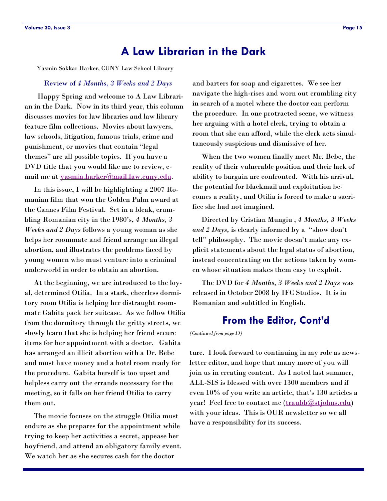### **A Law Librarian in the Dark**

<span id="page-14-0"></span>Yasmin Sokkar Harker, CUNY Law School Library

#### Review of *4 Months, 3 Weeks and 2 Days*

 Happy Spring and welcome to A Law Librarian in the Dark. Now in its third year, this column discusses movies for law libraries and law library feature film collections. Movies about lawyers, law schools, litigation, famous trials, crime and punishment, or movies that contain "legal themes" are all possible topics. If you have a DVD title that you would like me to review, email me at [yasmin.harker@mail.law.cuny.edu.](mailto:yasmin.harker@mail.law.cuny.edu)

 In this issue, I will be highlighting a 2007 Romanian film that won the Golden Palm award at the Cannes Film Festival. Set in a bleak, crumbling Romanian city in the 1980's, *4 Months, 3 Weeks and 2 Days* follows a young woman as she helps her roommate and friend arrange an illegal abortion, and illustrates the problems faced by young women who must venture into a criminal underworld in order to obtain an abortion.

 At the beginning, we are introduced to the loyal, determined Otilia. In a stark, cheerless dormitory room Otilia is helping her distraught roommate Gabita pack her suitcase. As we follow Otilia from the dormitory through the gritty streets, we slowly learn that she is helping her friend secure items for her appointment with a doctor. Gabita has arranged an illicit abortion with a Dr. Bebe and must have money and a hotel room ready for the procedure. Gabita herself is too upset and helpless carry out the errands necessary for the meeting, so it falls on her friend Otilia to carry them out.

 The movie focuses on the struggle Otilia must endure as she prepares for the appointment while trying to keep her activities a secret, appease her boyfriend, and attend an obligatory family event. We watch her as she secures cash for the doctor

and barters for soap and cigarettes. We see her navigate the high-rises and worn out crumbling city in search of a motel where the doctor can perform the procedure. In one protracted scene, we witness her arguing with a hotel clerk, trying to obtain a room that she can afford, while the clerk acts simultaneously suspicious and dismissive of her.

 When the two women finally meet Mr. Bebe, the reality of their vulnerable position and their lack of ability to bargain are confronted. With his arrival, the potential for blackmail and exploitation becomes a reality, and Otilia is forced to make a sacrifice she had not imagined.

 Directed by Cristian Mungiu , *4 Months, 3 Weeks*  and 2 Days, is clearly informed by a "show don't tell" philosophy. The movie doesn't make any explicit statements about the legal status of abortion, instead concentrating on the actions taken by women whose situation makes them easy to exploit.

 The DVD for *4 Months, 3 Weeks and 2 Days* was released in October 2008 by IFC Studios. It is in Romanian and subtitled in English.

### **From the Editor, Cont'd**

*(Continued from page 13)*

ture. I look forward to continuing in my role as newsletter editor, and hope that many more of you will join us in creating content. As I noted last summer, ALL-SIS is blessed with over 1300 members and if even 10% of you write an article, that's 130 articles a year! Feel free to contact me ([traubb@stjohns.edu\)](mailto:traubb@stjohns.edu) with your ideas. This is OUR newsletter so we all have a responsibility for its success.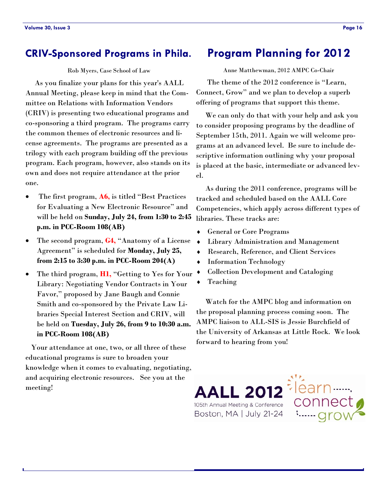### **CRIV-Sponsored Programs in Phila.**

#### Rob Myers, Case School of Law

 As you finalize your plans for this year's AALL Annual Meeting, please keep in mind that the Committee on Relations with Information Vendors (CRIV) is presenting two educational programs and co-sponsoring a third program. The programs carry the common themes of electronic resources and license agreements. The programs are presented as a trilogy with each program building off the previous program. Each program, however, also stands on its own and does not require attendance at the prior one.

- The first program, A6, is titled "Best Practices" for Evaluating a New Electronic Resource" and will be held on **Sunday, July 24, from 1:30 to 2:45 p.m. in PCC-Room 108(AB)**
- The second program, **G4,** "Anatomy of a License Agreement" is scheduled for **Monday**, July 25, **from 2:15 to 3:30 p.m. in PCC-Room 204(A)**
- The third program, **H1,** "Getting to Yes for Your Library: Negotiating Vendor Contracts in Your Favor," proposed by Jane Baugh and Connie Smith and co-sponsored by the Private Law Libraries Special Interest Section and CRIV, will be held on **Tuesday, July 26, from 9 to 10:30 a.m. in PCC-Room 108(AB)**

 Your attendance at one, two, or all three of these educational programs is sure to broaden your knowledge when it comes to evaluating, negotiating, and acquiring electronic resources. See you at the meeting!

### **Program Planning for 2012**

Anne Matthewman, 2012 AMPC Co-Chair

The theme of the 2012 conference is "Learn, Connect, Grow" and we plan to develop a superb offering of programs that support this theme.

 We can only do that with your help and ask you to consider proposing programs by the deadline of September 15th, 2011. Again we will welcome programs at an advanced level. Be sure to include descriptive information outlining why your proposal is placed at the basic, intermediate or advanced level.

 As during the 2011 conference, programs will be tracked and scheduled based on the AALL Core Competencies, which apply across different types of libraries. These tracks are:

- General or Core Programs
- Library Administration and Management
- Research, Reference, and Client Services
- Information Technology
- Collection Development and Cataloging
- ◆ Teaching

 Watch for the AMPC blog and information on the proposal planning process coming soon. The AMPC liaison to ALL-SIS is Jessie Burchfield of the University of Arkansas at Little Rock. We look forward to hearing from you!

iearr

conne

**AALL 2012** 105th Annual Meeting & Conference Boston, MA | July 21-24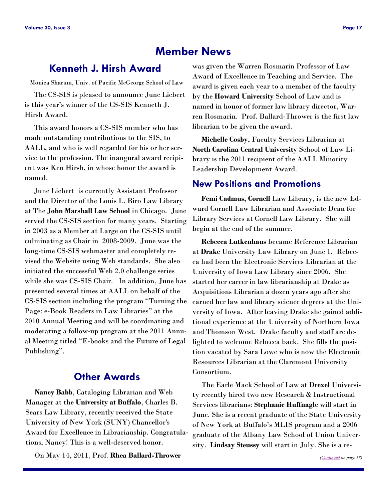### **Member News**

### <span id="page-16-0"></span>**Kenneth J. Hirsh Award**

Monica Sharum, Univ. of Pacific McGeorge School of Law

 The CS-SIS is pleased to announce June Liebert is this year's winner of the CS-SIS Kenneth J. Hirsh Award.

 This award honors a CS-SIS member who has made outstanding contributions to the SIS, to AALL, and who is well regarded for his or her service to the profession. The inaugural award recipient was Ken Hirsh, in whose honor the award is named.

 June Liebert is currently Assistant Professor and the Director of the Louis L. Biro Law Library at The **John Marshall Law School** in Chicago. June served the CS-SIS section for many years. Starting in 2003 as a Member at Large on the CS-SIS until culminating as Chair in 2008-2009. June was the long-time CS-SIS webmaster and completely revised the Website using Web standards. She also initiated the successful Web 2.0 challenge series while she was CS-SIS Chair. In addition, June has presented several times at AALL on behalf of the CS-SIS section including the program "Turning the Page: e-Book Readers in Law Libraries" at the 2010 Annual Meeting and will be coordinating and moderating a follow-up program at the 2011 Annual Meeting titled "E-books and the Future of Legal Publishing".

### **Other Awards**

 **Nancy Babb**, Cataloging Librarian and Web Manager at the **University at Buffalo**, Charles B. Sears Law Library, recently received the State University of New York (SUNY) Chancellor's Award for Excellence in Librarianship. Congratulations, Nancy! This is a well-deserved honor.

On May 14, 2011, Prof. **Rhea Ballard-Thrower** 

was given the Warren Rosmarin Professor of Law Award of Excellence in Teaching and Service. The award is given each year to a member of the faculty by the **Howard University** School of Law and is named in honor of former law library director, Warren Rosmarin. Prof. Ballard-Thrower is the first law librarian to be given the award.

 **Michelle Cosby**, Faculty Services Librarian at **North Carolina Central University** School of Law Library is the 2011 recipient of the AALL Minority Leadership Development Award.

### **New Positions and Promotions**

 **Femi Cadmus, Cornell** Law Library, is the new Edward Cornell Law Librarian and Associate Dean for Library Services at Cornell Law Library. She will begin at the end of the summer.

 **Rebecca Lutkenhaus** became Reference Librarian at **Drake** University Law Library on June 1. Rebecca had been the Electronic Services Librarian at the University of Iowa Law Library since 2006. She started her career in law librarianship at Drake as Acquisitions Librarian a dozen years ago after she earned her law and library science degrees at the University of Iowa. After leaving Drake she gained additional experience at the University of Northern Iowa and Thomson West. Drake faculty and staff are delighted to welcome Rebecca back. She fills the position vacated by Sara Lowe who is now the Electronic Resources Librarian at the Claremont University Consortium.

 The Earle Mack School of Law at **Drexel** University recently hired two new Research & Instructional Services librarians: **Stephanie Huffnagle** will start in June. She is a recent graduate of the State University of New York at Buffalo's MLIS program and a 2006 graduate of the Albany Law School of Union University. **Lindsay Steussy** will start in July. She is a re-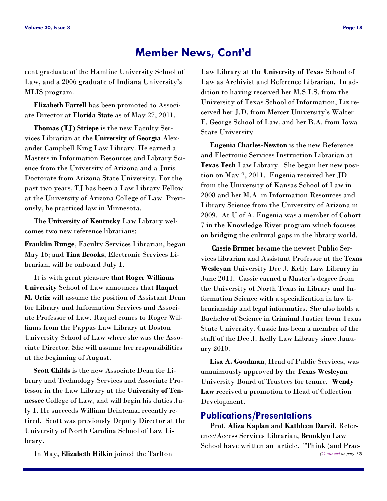### **Member News, Cont'd**

<span id="page-17-0"></span>cent graduate of the Hamline University School of Law, and a 2006 graduate of Indiana University's MLIS program.

 **Elizabeth Farrell** has been promoted to Associate Director at **Florida State** as of May 27, 2011.

 **Thomas (TJ) Striepe** is the new Faculty Services Librarian at the **University of Georgia** Alexander Campbell King Law Library. He earned a Masters in Information Resources and Library Science from the University of Arizona and a Juris Doctorate from Arizona State University. For the past two years, TJ has been a Law Library Fellow at the University of Arizona College of Law. Previously, he practiced law in Minnesota.

 The **University of Kentucky** Law Library welcomes two new reference librarians:

**Franklin Runge**, Faculty Services Librarian, began May 16; and **Tina Brooks**, Electronic Services Librarian, will be onboard July 1.

 It is with great pleasure **that Roger Williams University** School of Law announces that **Raquel M. Ortiz** will assume the position of Assistant Dean for Library and Information Services and Associate Professor of Law. Raquel comes to Roger Williams from the Pappas Law Library at Boston University School of Law where she was the Associate Director. She will assume her responsibilities at the beginning of August.

 **Scott Childs** is the new Associate Dean for Library and Technology Services and Associate Professor in the Law Library at the **University of Tennessee** College of Law, and will begin his duties July 1. He succeeds William Beintema, recently retired. Scott was previously Deputy Director at the University of North Carolina School of Law Library.

In May, **Elizabeth Hilkin** joined the Tarlton

Law Library at the **University of Texas** School of Law as Archivist and Reference Librarian. In addition to having received her M.S.I.S. from the University of Texas School of Information, Liz received her J.D. from Mercer University's Walter F. George School of Law, and her B.A. from Iowa State University

 **Eugenia Charles-Newton** is the new Reference and Electronic Services Instruction Librarian at **Texas Tech** Law Library. She began her new position on May 2, 2011. Eugenia received her JD from the University of Kansas School of Law in 2008 and her M.A. in Information Resources and Library Science from the University of Arizona in 2009. At U of A, Eugenia was a member of Cohort 7 in the Knowledge River program which focuses on bridging the cultural gaps in the library world.

 **Cassie Bruner** became the newest Public Services librarian and Assistant Professor at the **Texas Wesleyan** University Dee J. Kelly Law Library in June 2011. Cassie earned a Master's degree from the University of North Texas in Library and Information Science with a specialization in law librarianship and legal informatics. She also holds a Bachelor of Science in Criminal Justice from Texas State University. Cassie has been a member of the staff of the Dee J. Kelly Law Library since January 2010.

 **Lisa A. Goodman**, Head of Public Services, was unanimously approved by the **Texas Wesleyan**  University Board of Trustees for tenure. **Wendy Law** received a promotion to Head of Collection Development.

### **Publications/Presentations**

 Prof. **Aliza Kaplan** and **Kathleen Darvil**, Reference/Access Services Librarian, **Brooklyn** Law School have written an article. "Think (and Prac- *([Continued](#page-18-0) on page 19)*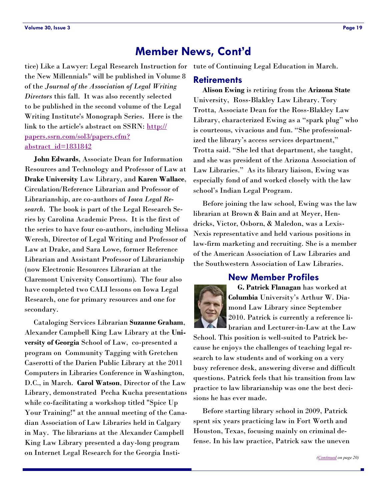### **Member News, Cont'd**

<span id="page-18-0"></span>tice) Like a Lawyer: Legal Research Instruction for tute of Continuing Legal Education in March. the New Millennials" will be published in Volume 8 of the *Journal of the Association of Legal Writing Directors* this fall. It was also recently selected to be published in the second volume of the Legal Writing Institute's Monograph Series. Here is the link to the article's abstract on SSRN: [http://](http://papers.ssrn.com/sol3/papers.cfm?abstract_id=1831842) [papers.ssrn.com/sol3/papers.cfm?](http://papers.ssrn.com/sol3/papers.cfm?abstract_id=1831842) [abstract\\_id=1831842](http://papers.ssrn.com/sol3/papers.cfm?abstract_id=1831842)

 **John Edwards**, Associate Dean for Information Resources and Technology and Professor of Law at **Drake University** Law Library, and **Karen Wallace**, Circulation/Reference Librarian and Professor of Librarianship, are co-authors of *Iowa Legal Research*. The book is part of the Legal Research Series by Carolina Academic Press. It is the first of the series to have four co-authors, including Melissa Weresh, Director of Legal Writing and Professor of Law at Drake, and Sara Lowe, former Reference Librarian and Assistant Professor of Librarianship (now Electronic Resources Librarian at the Claremont University Consortium). The four also have completed two CALI lessons on Iowa Legal Research, one for primary resources and one for secondary.

 Cataloging Services Librarian **Suzanne Graham**, Alexander Campbell King Law Library at the **University of Georgia** School of Law, co-presented a program on Community Tagging with Gretchen Caserotti of the Darien Public Library at the 2011 Computers in Libraries Conference in Washington, D.C., in March. **Carol Watson**, Director of the Law Library, demonstrated Pecha Kucha presentations while co-facilitating a workshop titled "Spice Up Your Training!" at the annual meeting of the Canadian Association of Law Libraries held in Calgary in May. The librarians at the Alexander Campbell King Law Library presented a day-long program on Internet Legal Research for the Georgia Insti-

### **Retirements**

 **Alison Ewing** is retiring from the **Arizona State**  University, Ross-Blakley Law Library. Tory Trotta, Associate Dean for the Ross-Blakley Law Library, characterized Ewing as a "spark plug" who is courteous, vivacious and fun. "She professionalized the library's access services department," Trotta said. "She led that department, she taught, and she was president of the Arizona Association of Law Libraries." As its library liaison, Ewing was especially fond of and worked closely with the law school's Indian Legal Program.

 Before joining the law school, Ewing was the law librarian at Brown & Bain and at Meyer, Hendricks, Victor, Osborn, & Maledon, was a Lexis-Nexis representative and held various positions in law-firm marketing and recruiting. She is a member of the American Association of Law Libraries and the Southwestern Association of Law Libraries.

### **New Member Profiles**



 **G. Patrick Flanagan** has worked at **Columbia** University's Arthur W. Diamond Law Library since September 2010. Patrick is currently a reference librarian and Lecturer-in-Law at the Law

School. This position is well-suited to Patrick because he enjoys the challenges of teaching legal research to law students and of working on a very busy reference desk, answering diverse and difficult questions. Patrick feels that his transition from law practice to law librarianship was one the best decisions he has ever made.

 Before starting library school in 2009, Patrick spent six years practicing law in Fort Worth and Houston, Texas, focusing mainly on criminal defense. In his law practice, Patrick saw the uneven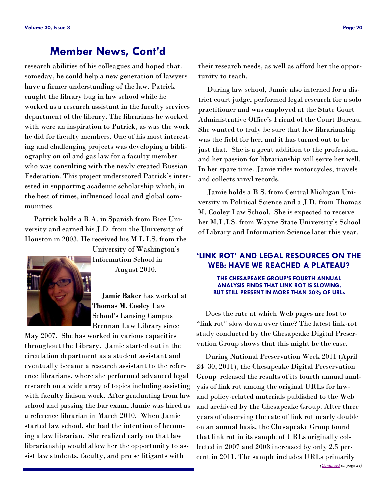### **Member News, Cont'd**

<span id="page-19-0"></span>research abilities of his colleagues and hoped that, someday, he could help a new generation of lawyers have a firmer understanding of the law. Patrick caught the library bug in law school while he worked as a research assistant in the faculty services department of the library. The librarians he worked with were an inspiration to Patrick, as was the work he did for faculty members. One of his most interesting and challenging projects was developing a bibliography on oil and gas law for a faculty member who was consulting with the newly created Russian Federation. This project underscored Patrick's interested in supporting academic scholarship which, in the best of times, influenced local and global communities.

 Patrick holds a B.A. in Spanish from Rice University and earned his J.D. from the University of Houston in 2003. He received his M.L.I.S. from the



University of Washington's Information School in August 2010.

 **Jamie Baker** has worked at **Thomas M. Cooley** Law School's Lansing Campus Brennan Law Library since

May 2007. She has worked in various capacities throughout the Library. Jamie started out in the circulation department as a student assistant and eventually became a research assistant to the reference librarians, where she performed advanced legal research on a wide array of topics including assisting with faculty liaison work. After graduating from law school and passing the bar exam, Jamie was hired as a reference librarian in March 2010. When Jamie started law school, she had the intention of becoming a law librarian. She realized early on that law librarianship would allow her the opportunity to assist law students, faculty, and pro se litigants with

 During law school, Jamie also interned for a district court judge, performed legal research for a solo practitioner and was employed at the State Court Administrative Office's Friend of the Court Bureau. She wanted to truly be sure that law librarianship was the field for her, and it has turned out to be just that. She is a great addition to the profession, and her passion for librarianship will serve her well. In her spare time, Jamie rides motorcycles, travels and collects vinyl records.

 Jamie holds a B.S. from Central Michigan University in Political Science and a J.D. from Thomas M. Cooley Law School. She is expected to receive her M.L.I.S. from Wayne State University's School of Library and Information Science later this year.

### **'LINK ROT' AND LEGAL RESOURCES ON THE WEB: HAVE WE REACHED A PLATEAU?**

#### **THE CHESAPEAKE GROUP'S FOURTH ANNUAL ANALYSIS FINDS THAT LINK ROT IS SLOWING, BUT STILL PRESENT IN MORE THAN 30% OF URLs**

 Does the rate at which Web pages are lost to "link rot" slow down over time? The latest link-rot study conducted by the Chesapeake Digital Preservation Group shows that this might be the case.

 During National Preservation Week 2011 (April 24–30, 2011), the Chesapeake Digital Preservation Group released the results of its fourth annual analysis of link rot among the original URLs for lawand policy-related materials published to the Web and archived by the Chesapeake Group. After three years of observing the rate of link rot nearly double on an annual basis, the Chesapeake Group found that link rot in its sample of URLs originally collected in 2007 and 2008 increased by only 2.5 percent in 2011. The sample includes URLs primarily *([Continued](#page-20-0) on page 21)*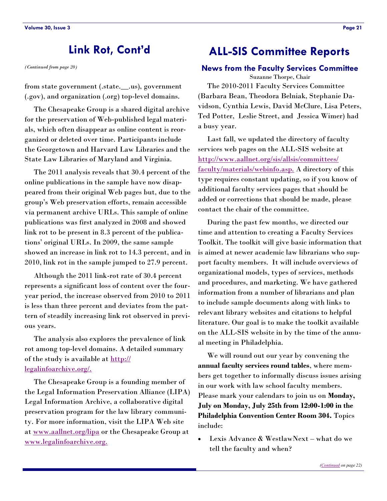<span id="page-20-0"></span>*(Continued from page 20)*

from state government (.state.\_\_.us), government (.gov), and organization (.org) top-level domains.

 The Chesapeake Group is a shared digital archive for the preservation of Web-published legal materials, which often disappear as online content is reorganized or deleted over time. Participants include the Georgetown and Harvard Law Libraries and the State Law Libraries of Maryland and Virginia.

 The 2011 analysis reveals that 30.4 percent of the online publications in the sample have now disappeared from their original Web pages but, due to the group's Web preservation efforts, remain accessible via permanent archive URLs. This sample of online publications was first analyzed in 2008 and showed link rot to be present in 8.3 percent of the publications' original URLs. In 2009, the same sample showed an increase in link rot to 14.3 percent, and in 2010, link rot in the sample jumped to 27.9 percent.

 Although the 2011 link-rot rate of 30.4 percent represents a significant loss of content over the fouryear period, the increase observed from 2010 to 2011 is less than three percent and deviates from the pattern of steadily increasing link rot observed in previous years.

 The analysis also explores the prevalence of link rot among top-level domains. A detailed summary of the study is available at [http://](http://legalinfoarchive.org/) [legalinfoarchive.org/.](http://legalinfoarchive.org/)

 The Chesapeake Group is a founding member of the Legal Information Preservation Alliance (LIPA) Legal Information Archive, a collaborative digital preservation program for the law library community. For more information, visit the LIPA Web site at [www.aallnet.org/lipa](http://www.aallnet.org/lipa) or the Chesapeake Group at [www.legalinfoarchive.org.](http://www.legalinfoarchive.org)

# **Link Rot, Cont'd ALL-SIS Committee Reports**

#### **News from the Faculty Services Committee**

Suzanne Thorpe, Chair

 The 2010-2011 Faculty Services Committee (Barbara Bean, Theodora Belniak, Stephanie Davidson, Cynthia Lewis, David McClure, Lisa Peters, Ted Potter, Leslie Street, and Jessica Wimer) had a busy year.

 Last fall, we updated the directory of faculty services web pages on the ALL-SIS website at [http://www.aallnet.org/sis/allsis/committees/](http://www.aallnet.org/sis/allsis/committees/faculty/materials/webinfo.asp) [faculty/materials/webinfo.asp.](http://www.aallnet.org/sis/allsis/committees/faculty/materials/webinfo.asp) A directory of this type requires constant updating, so if you know of additional faculty services pages that should be added or corrections that should be made, please contact the chair of the committee.

 During the past few months, we directed our time and attention to creating a Faculty Services Toolkit. The toolkit will give basic information that is aimed at newer academic law librarians who support faculty members. It will include overviews of organizational models, types of services, methods and procedures, and marketing. We have gathered information from a number of librarians and plan to include sample documents along with links to relevant library websites and citations to helpful literature. Our goal is to make the toolkit available on the ALL-SIS website in by the time of the annual meeting in Philadelphia.

 We will round out our year by convening the **annual faculty services round tables**, where members get together to informally discuss issues arising in our work with law school faculty members. Please mark your calendars to join us on **Monday, July on Monday, July 25th from 12:00-1:00 in the Philadelphia Convention Center Room 304.** Topics include:

 Lexis Advance & WestlawNext – what do we tell the faculty and when?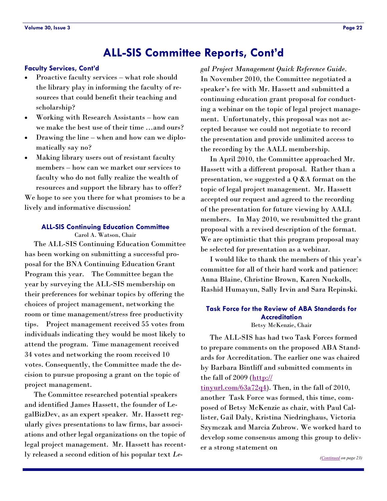### **ALL-SIS Committee Reports, Cont'd**

#### <span id="page-21-0"></span>**Faculty Services, Cont'd**

- Proactive faculty services what role should the library play in informing the faculty of resources that could benefit their teaching and scholarship?
- Working with Research Assistants how can we make the best use of their time …and ours?
- Drawing the line when and how can we diplomatically say no?
- Making library users out of resistant faculty members – how can we market our services to faculty who do not fully realize the wealth of resources and support the library has to offer?

We hope to see you there for what promises to be a lively and informative discussion!

#### **ALL-SIS Continuing Education Committee**

Carol A. Watson, Chair

 The ALL-SIS Continuing Education Committee has been working on submitting a successful proposal for the BNA Continuing Education Grant Program this year. The Committee began the year by surveying the ALL-SIS membership on their preferences for webinar topics by offering the choices of project management, networking the room or time management/stress free productivity tips. Project management received 55 votes from individuals indicating they would be most likely to attend the program. Time management received 34 votes and networking the room received 10 votes. Consequently, the Committee made the decision to pursue proposing a grant on the topic of project management.

 The Committee researched potential speakers and identified James Hassett, the founder of LegalBizDev, as an expert speaker. Mr. Hassett regularly gives presentations to law firms, bar associations and other legal organizations on the topic of legal project management. Mr. Hassett has recently released a second edition of his popular text *Le-* *gal Project Management Quick Reference Guide.* In November 2010, the Committee negotiated a speaker's fee with Mr. Hassett and submitted a continuing education grant proposal for conducting a webinar on the topic of legal project management. Unfortunately, this proposal was not accepted because we could not negotiate to record the presentation and provide unlimited access to the recording by the AALL membership.

 In April 2010, the Committee approached Mr. Hassett with a different proposal. Rather than a presentation, we suggested a Q &A format on the topic of legal project management. Mr. Hassett accepted our request and agreed to the recording of the presentation for future viewing by AALL members. In May 2010, we resubmitted the grant proposal with a revised description of the format. We are optimistic that this program proposal may be selected for presentation as a webinar.

 I would like to thank the members of this year's committee for all of their hard work and patience: Anna Blaine, Christine Brown, Karen Nuckolls, Rashid Humayun, Sally Irvin and Sara Repinski.

### **Task Force for the Review of ABA Standards for Accreditation**

Betsy McKenzie, Chair

 The ALL-SIS has had two Task Forces formed to prepare comments on the proposed ABA Standards for Accreditation. The earlier one was chaired by Barbara Bintliff and submitted comments in the fall of 2009 ([http://](http://tinyurl.com/63a72q4)

 $\frac{\text{tinyurl.com}}{63a72q4}$ . Then, in the fall of 2010, another Task Force was formed, this time, composed of Betsy McKenzie as chair, with Paul Callister, Gail Daly, Kristina Niedringhaus, Victoria Szymczak and Marcia Zubrow. We worked hard to develop some consensus among this group to deliver a strong statement on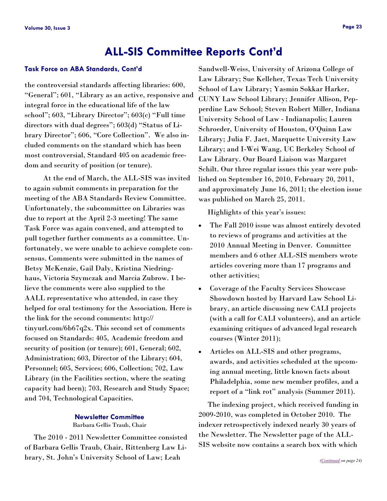## **ALL-SIS Committee Reports Cont'd**

#### <span id="page-22-0"></span>**Task Force on ABA Standards, Cont'd**

the controversial standards affecting libraries: 600, ―General‖; 601, ―Library as an active, responsive and integral force in the educational life of the law school"; 603, "Library Director"; 603(c) "Full time directors with dual degrees";  $603(d)$  "Status of Library Director"; 606, "Core Collection". We also included comments on the standard which has been most controversial, Standard 405 on academic freedom and security of position (or tenure).

 At the end of March, the ALL-SIS was invited to again submit comments in preparation for the meeting of the ABA Standards Review Committee. Unfortunately, the subcommittee on Libraries was due to report at the April 2-3 meeting! The same Task Force was again convened, and attempted to pull together further comments as a committee. Unfortunately, we were unable to achieve complete consensus. Comments were submitted in the names of Betsy McKenzie, Gail Daly, Kristina Niedringhaus, Victoria Szymczak and Marcia Zubrow. I believe the comments were also supplied to the AALL representative who attended, in case they helped for oral testimony for the Association. Here is the link for the second comments: http:// tinyurl.com/6b67q2x. This second set of comments focused on Standards: 405, Academic freedom and security of position (or tenure); 601, General; 602, Administration; 603, Director of the Library; 604, Personnel; 605, Services; 606, Collection; 702, Law Library (in the Facilities section, where the seating capacity had been); 703, Research and Study Space; and 704, Technological Capacities.

#### **Newsletter Committee** Barbara Gellis Traub, Chair

 The 2010 - 2011 Newsletter Committee consisted of Barbara Gellis Traub, Chair, Rittenberg Law Library, St. John's University School of Law; Leah

Sandwell-Weiss, University of Arizona College of Law Library; Sue Kelleher, Texas Tech University School of Law Library; Yasmin Sokkar Harker, CUNY Law School Library; Jennifer Allison, Pepperdine Law School; Steven Robert Miller, Indiana University School of Law - Indianapolis; Lauren Schroeder, University of Houston, O'Quinn Law Library; Julia F. Jaet, Marquette University Law Library; and I-Wei Wang, UC Berkeley School of Law Library. Our Board Liaison was Margaret Schilt. Our three regular issues this year were published on September 16, 2010, February 20, 2011, and approximately June 16, 2011; the election issue was published on March 25, 2011.

Highlights of this year's issues:

- The Fall 2010 issue was almost entirely devoted to reviews of programs and activities at the 2010 Annual Meeting in Denver. Committee members and 6 other ALL-SIS members wrote articles covering more than 17 programs and other activities;
- Coverage of the Faculty Services Showcase Showdown hosted by Harvard Law School Library, an article discussing new CALI projects (with a call for CALI volunteers), and an article examining critiques of advanced legal research courses (Winter 2011);
- Articles on ALL-SIS and other programs, awards, and activities scheduled at the upcoming annual meeting, little known facts about Philadelphia, some new member profiles, and a report of a "link rot" analysis (Summer 2011).

 The indexing project, which received funding in 2009-2010, was completed in October 2010. The indexer retrospectively indexed nearly 30 years of the Newsletter. The Newsletter page of the ALL-SIS website now contains a search box with which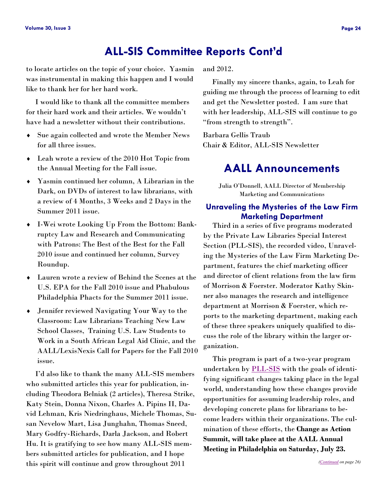# **ALL-SIS Committee Reports Cont'd**

<span id="page-23-0"></span>to locate articles on the topic of your choice. Yasmin was instrumental in making this happen and I would like to thank her for her hard work.

 I would like to thank all the committee members for their hard work and their articles. We wouldn't have had a newsletter without their contributions.

- Sue again collected and wrote the Member News for all three issues.
- Leah wrote a review of the 2010 Hot Topic from the Annual Meeting for the Fall issue.
- Yasmin continued her column, A Librarian in the Dark, on DVDs of interest to law librarians, with a review of 4 Months, 3 Weeks and 2 Days in the Summer 2011 issue.
- I-Wei wrote Looking Up From the Bottom: Bankruptcy Law and Research and Communicating with Patrons: The Best of the Best for the Fall 2010 issue and continued her column, Survey Roundup.
- Lauren wrote a review of Behind the Scenes at the U.S. EPA for the Fall 2010 issue and Phabulous Philadelphia Phacts for the Summer 2011 issue.
- Jennifer reviewed Navigating Your Way to the Classroom: Law Librarians Teaching New Law School Classes, Training U.S. Law Students to Work in a South African Legal Aid Clinic, and the AALL/LexisNexis Call for Papers for the Fall 2010 issue.

 I'd also like to thank the many ALL-SIS members who submitted articles this year for publication, including Theodora Belniak (2 articles), Theresa Strike, Katy Stein, Donna Nixon, Charles A. Pipins II, David Lehman, Kris Niedringhaus, Michele Thomas, Susan Nevelow Mart, Lisa Junghahn, Thomas Sneed, Mary Godfry-Richards, Darla Jackson, and Robert Hu. It is gratifying to see how many ALL-SIS members submitted articles for publication, and I hope this spirit will continue and grow throughout 2011

and 2012.

 Finally my sincere thanks, again, to Leah for guiding me through the process of learning to edit and get the Newsletter posted. I am sure that with her leadership, ALL-SIS will continue to go "from strength to strength".

Barbara Gellis Traub Chair & Editor, ALL-SIS Newsletter

### **AALL Announcements**

Julia O'Donnell, AALL Director of Membership Marketing and Communications

### **Unraveling the Mysteries of the Law Firm Marketing Department**

 Third in a series of five programs moderated by the Private Law Libraries Special Interest Section (PLL-SIS), the recorded video, Unraveling the Mysteries of the Law Firm Marketing Department, features the chief marketing officer and director of client relations from the law firm of Morrison & Foerster. Moderator Kathy Skinner also manages the research and intelligence department at Morrison & Foerster, which reports to the marketing department, making each of these three speakers uniquely qualified to discuss the role of the library within the larger organization.

 This program is part of a two-year program undertaken by [PLL-SIS](http://www.aallnet.org/sis/pllsis) with the goals of identifying significant changes taking place in the legal world, understanding how these changes provide opportunities for assuming leadership roles, and developing concrete plans for librarians to become leaders within their organizations. The culmination of these efforts, the **Change as Action Summit, will take place at the AALL Annual Meeting in Philadelphia on Saturday, July 23.**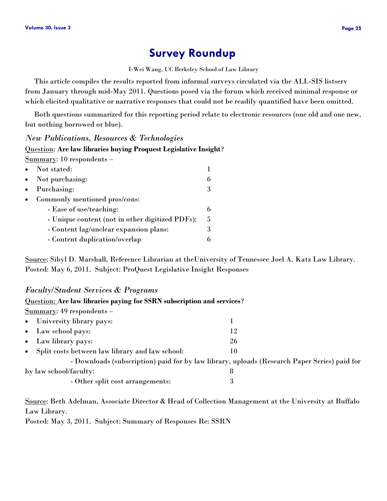## **Survey Roundup**

I-Wei Wang, UC Berkeley School of Law Library

<span id="page-24-0"></span> This article compiles the results reported from informal surveys circulated via the ALL-SIS listserv from January through mid-May 2011. Questions posed via the forum which received minimal response or which elicited qualitative or narrative responses that could not be readily quantified have been omitted.

 Both questions summarized for this reporting period relate to electronic resources (one old and one new, but nothing borrowed or blue).

#### *New Publications, Resources & Technologies*

Question: **Are law libraries buying Proquest Legislative Insight**?

Summary: 10 respondents –

| $\bullet$ | Not stated:                                     |    |
|-----------|-------------------------------------------------|----|
| $\bullet$ | Not purchasing:                                 | h  |
| $\bullet$ | Purchasing:                                     | 3  |
| $\bullet$ | Commonly mentioned pros/cons:                   |    |
|           | - Ease of use/teaching:                         |    |
|           | - Unique content (not in other digitized PDFs): | -5 |
|           | - Content lag/unclear expansion plans:          | 3  |
|           | - Content duplication/overlap                   |    |

Source: Sibyl D. Marshall, Reference Librarian at theUniversity of Tennessee Joel A. Katz Law Library. Posted: May 6, 2011. Subject: ProQuest Legislative Insight Responses

### *Faculty/Student Services & Programs*

| Question: Are law libraries paying for SSRN subscription and services? |                                                                                              |  |  |  |
|------------------------------------------------------------------------|----------------------------------------------------------------------------------------------|--|--|--|
| $Summary: 49$ respondents -                                            |                                                                                              |  |  |  |
| • University library pays:                                             |                                                                                              |  |  |  |
| • Law school pays:                                                     | 12                                                                                           |  |  |  |
| • Law library pays:                                                    | 26                                                                                           |  |  |  |
| • Split costs between law library and law school:                      | 10                                                                                           |  |  |  |
|                                                                        | - Downloads (subscription) paid for by law library, uploads (Research Paper Series) paid for |  |  |  |
| by law school/faculty:                                                 | 8                                                                                            |  |  |  |
| - Other split cost arrangements:                                       |                                                                                              |  |  |  |

Source: Beth Adelman, Associate Director & Head of Collection Management at the University at Buffalo Law Library.

Posted: May 3, 2011. Subject: Summary of Responses Re: SSRN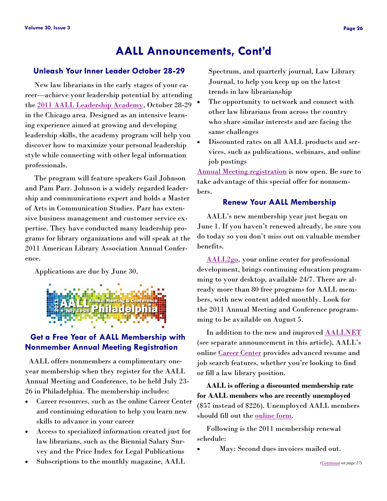### **AALL Announcements, Cont'd**

### <span id="page-25-0"></span>**Unleash Your Inner Leader October 28-29**

 New law librarians in the early stages of your career—achieve your leadership potential by attending the [2011 AALL Leadership Academy,](http://www.aallnet.org/prodev/event_leadershipacademy.asp) October 28-29 in the Chicago area. Designed as an intensive learning experience aimed at growing and developing leadership skills, the academy program will help you discover how to maximize your personal leadership style while connecting with other legal information professionals.

 The program will feature speakers Gail Johnson and Pam Parr. Johnson is a widely regarded leadership and communications expert and holds a Master of Arts in Communication Studies. Parr has extensive business management and customer service expertise. They have conducted many leadership programs for library organizations and will speak at the 2011 American Library Association Annual Conference.

Applications are due by June 30.



### **Get a Free Year of AALL Membership with Nonmember Annual Meeting Registration**

 AALL offers nonmembers a complimentary oneyear membership when they register for the AALL Annual Meeting and Conference, to be held July 23- 26 in Philadelphia. The membership includes:

- Career resources, such as the online Career Center and continuing education to help you learn new skills to advance in your career
- Access to specialized information created just for law librarians, such as the Biennial Salary Survey and the Price Index for Legal Publications
- Subscriptions to the monthly magazine, AALL

Spectrum, and quarterly journal, Law Library Journal, to help you keep up on the latest trends in law librarianship

- The opportunity to network and connect with other law librarians from across the country who share similar interests and are facing the same challenges
- Discounted rates on all AALL products and services, such as publications, webinars, and online job postings

[Annual Meeting registration](http://www.aallnet.org/main-menu/Education/events/attendees/registration) is now open. Be sure to take advantage of this special offer for nonmembers.

#### **Renew Your AALL Membership**

 AALL's new membership year just began on June 1. If you haven't renewed already, be sure you do today so you don't miss out on valuable member benefits.

 [AALL2go,](http://www.softconference.com/aall/) your online center for professional development, brings continuing education programming to your desktop, available 24/7. There are already more than 80 free programs for AALL members, with new content added monthly. Look for the 2011 Annual Meeting and Conference programming to be available on August 5.

In addition to the new and improved **[AALLNET](http://www.aallnet.org/)** (see separate announcement in this article), AALL's online [Career Center](Career%20Center) provides advanced resume and job search features, whether you're looking to find or fill a law library position.

 **AALL is offering a discounted membership rate for AALL members who are recently unemployed**  (\$57 instead of \$226). Unemployed AALL members should fill out the [online form.](http://www.aallnet.org/Home-page-contents/Join-benefits/unemployed-member-form.pdf)

 Following is the 2011 membership renewal schedule:

May: Second dues invoices mailed out.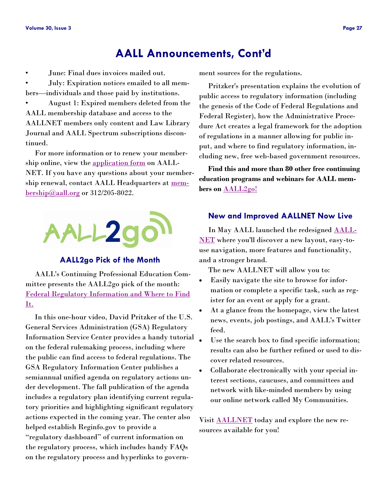## **AALL Announcements, Cont'd**

<span id="page-26-0"></span>• June: Final dues invoices mailed out.

• July: Expiration notices emailed to all members—individuals and those paid by institutions.

• August 1: Expired members deleted from the AALL membership database and access to the AALLNET members only content and Law Library Journal and AALL Spectrum subscriptions discontinued.

 For more information or to renew your membership online, view the [application form](http://www.aallnet.org/about/join.asp) on AALL-NET. If you have any questions about your membership renewal, contact AALL Headquarters at <u>mem-</u>  $\underline{bership@aall.org}$  $\underline{bership@aall.org}$  $\underline{bership@aall.org}$  or 312/205-8022.



### **AALL2go Pick of the Month**

 AALL's Continuing Professional Education Committee presents the AALL2go pick of the month: [Federal Regulatory Information and Where to Find](http://www.softconference.com/aall/sessionDetail.asp?SID=237122)  [It.](http://www.softconference.com/aall/sessionDetail.asp?SID=237122)

 In this one-hour video, David Pritzker of the U.S. General Services Administration (GSA) Regulatory Information Service Center provides a handy tutorial on the federal rulemaking process, including where the public can find access to federal regulations. The GSA Regulatory Information Center publishes a semiannual unified agenda on regulatory actions under development. The fall publication of the agenda includes a regulatory plan identifying current regulatory priorities and highlighting significant regulatory actions expected in the coming year. The center also helped establish Reginfo.gov to provide a ―regulatory dashboard‖ of current information on the regulatory process, which includes handy FAQs on the regulatory process and hyperlinks to govern-

ment sources for the regulations.

 Pritzker's presentation explains the evolution of public access to regulatory information (including the genesis of the Code of Federal Regulations and Federal Register), how the Administrative Procedure Act creates a legal framework for the adoption of regulations in a manner allowing for public input, and where to find regulatory information, including new, free web-based government resources.

 **Find this and more than 80 other free continuing education programs and webinars for AALL members on** [AALL2go!](http://www.softconference.com/aall/)

### **New and Improved AALLNET Now Live**

 In May AALL launched the redesigned [AALL-](http://www.aallnet.org/)[NET](http://www.aallnet.org/) where you'll discover a new layout, easy-touse navigation, more features and functionality, and a stronger brand.

The new AALLNET will allow you to:

- Easily navigate the site to browse for information or complete a specific task, such as register for an event or apply for a grant.
- At a glance from the homepage, view the latest news, events, job postings, and AALL's Twitter feed.
- Use the search box to find specific information; results can also be further refined or used to discover related resources.
- Collaborate electronically with your special interest sections, caucuses, and committees and network with like-minded members by using our online network called My Communities.

Visit [AALLNET](http://www.aallnet.org/) today and explore the new resources available for you!